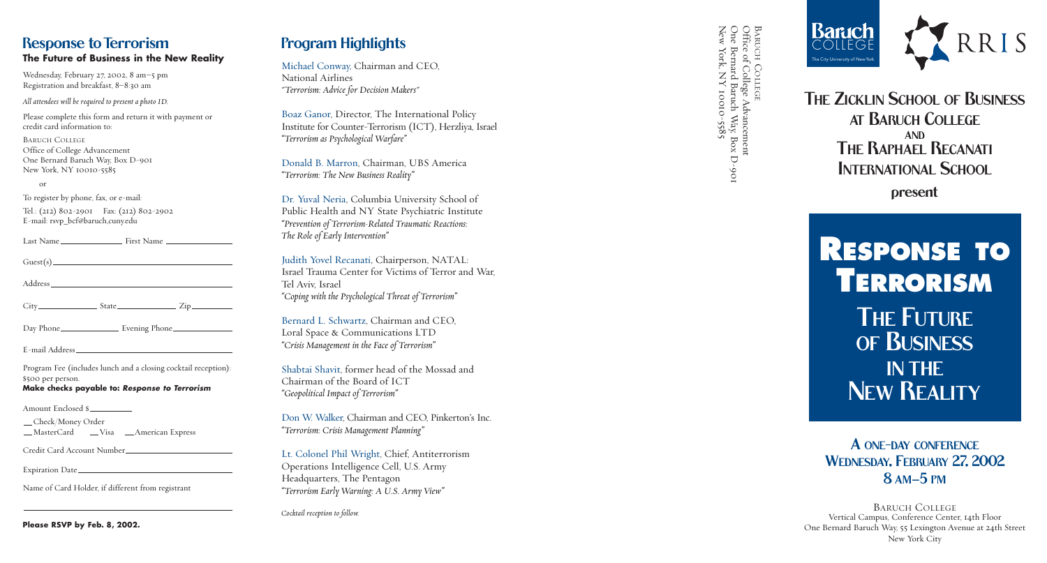



Prog ram Highlights

Michael Conway, Chairman and CEO, National Airlines *"Terrorism: Advice for Decision Makers"*

Boaz Ganor, Director, The International Policy Institute for Counter-Terrorism (ICT), Herzliya, Israel *"Terrorism as Psychological Warfare"*

Donald B. Marron, Chairman, UBS America *"Terrorism: The New Business Reality"*

Dr. Yuval Neria, Columbia University School of Public Health and NY State Psychiatric Institute *"Prevention of Terrorism-Related Traumatic Reactions: The Role of Early Intervention"*

Judith Yovel Recanati, Chairperson, NATAL: Israel Trauma Center for Victims of Terror and War, Tel Aviv, Israel *"Coping with the Psychological Threat of Terrorism"*

Bernard L. Schwartz, Chairman and CEO, Loral Space & Communications LTD *"Crisis Management in the Face of Terrorism"*

|                   | $City$ $City$ $State$ $Zip$                                    |
|-------------------|----------------------------------------------------------------|
|                   |                                                                |
|                   |                                                                |
| \$500 per person. | Program Fee (includes lunch and a closing cocktail reception): |

Shabtai Shavit, former head of the Mossad and Chairman of the Board of ICT *"Geopolitical Impact of Terrorism"*

Check/Money Order \_MasterCard \_\_Visa \_\_American Express Don W. Walker, Chairman and CEO, Pinkerton's Inc. *"Terrorism: Crisis Management Planning"*

# THE ZICKLIN SCHOOL OF BUSINESS AT BARUCH COLLEGE AND THE RAPHAEL RECANATI INTERNATIONAL SCHOOL

Lt. Colonel Phil Wright, Chief, Antiterrorism Op erations Intelligence Cell, U.S. Army Headquarters, The Pentagon *"Terrorism Early Warning: A U.S. Army View"*

*Cocktail reception to follow.*

## Response to Terrorism **The Future of Business in the New Reality**

BARUCH COLLEGE Ve rtical Campus, Conference Center, 14th Floor One Bernard Baruch Way, 55 Lexington Avenue at 24th Street New York City

Wednesday, February 27, 2002, 8 am–5 pm Registration and breakfast, 8 –8:30 am

*All attendees will be required to present a photo ID.*

Pl ease complete this form and return it with payment or credit card information to:

BARUCH COLLEGE Office of College Advancement One Bernard Baruch Way, Box D-901 New York, NY 10010-5585

or

To register by phone, fax, or e-mail:

Tel.: (212) 802-2901 Fax: (212) 802-2902 E-mail: rsvp \_bcf@baruch,cuny.edu

#### **Make checks payable to:** *Response to Terrorism*

Amount Enclosed \$

Credit Card Account Number

Expiration Date

Name of Card Holder, if different from registrant

**Please RSVP by Feb. 8, 2002.**

present

# **RESPONSE TO TERRORISM** THE FUTURE OF BUSINESS IN THE NEW REALITY

# A ONE -DAY CONFERENCE WEDNESDAY, FEBRUARY 27, 2002 8 AM –5 PM

BARUCH COLLEGE BARUCH COLLEGE<br>Office of College Advancement<br>One Bernard Baruch Way, Box D-901<br>New York, NY 10010-5585 Office of College Advancement ne Bernard Baruch Way, Box D-901 New York, NY 10010-5585